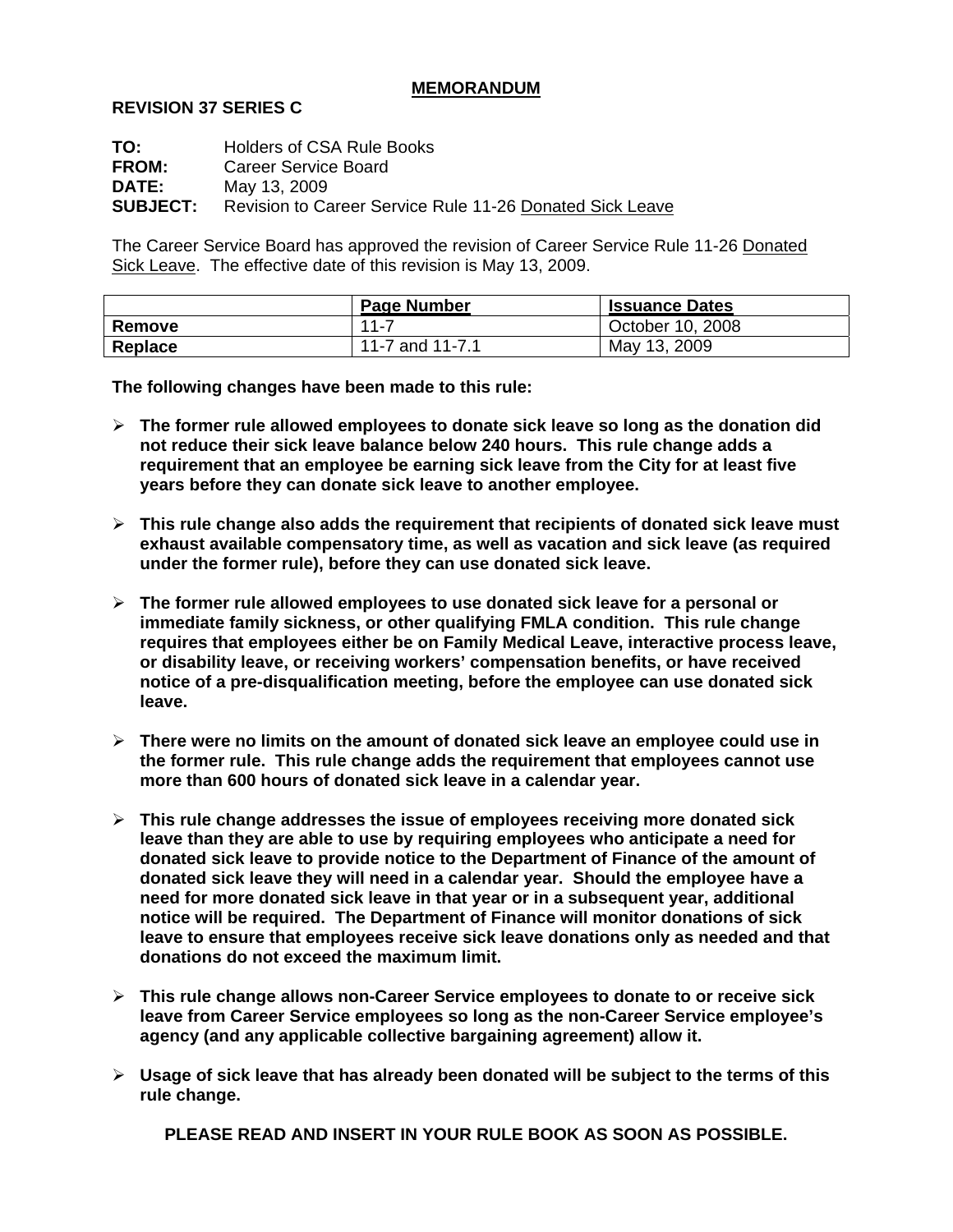## **MEMORANDUM**

## **REVISION 37 SERIES C**

**TO:** Holders of CSA Rule Books **FROM:** Career Service Board **DATE:** May 13, 2009 **SUBJECT:** Revision to Career Service Rule 11-26 Donated Sick Leave

The Career Service Board has approved the revision of Career Service Rule 11-26 Donated Sick Leave. The effective date of this revision is May 13, 2009.

|         | <b>Page Number</b> | <b>Issuance Dates</b> |
|---------|--------------------|-----------------------|
| Remove  | $11 - 7$           | October 10, 2008      |
| Replace | 11-7 and 11-7.1    | May 13, 2009          |

**The following changes have been made to this rule:** 

- ¾ **The former rule allowed employees to donate sick leave so long as the donation did not reduce their sick leave balance below 240 hours. This rule change adds a requirement that an employee be earning sick leave from the City for at least five years before they can donate sick leave to another employee.**
- ¾ **This rule change also adds the requirement that recipients of donated sick leave must exhaust available compensatory time, as well as vacation and sick leave (as required under the former rule), before they can use donated sick leave.**
- ¾ **The former rule allowed employees to use donated sick leave for a personal or immediate family sickness, or other qualifying FMLA condition. This rule change requires that employees either be on Family Medical Leave, interactive process leave, or disability leave, or receiving workers' compensation benefits, or have received notice of a pre-disqualification meeting, before the employee can use donated sick leave.**
- ¾ **There were no limits on the amount of donated sick leave an employee could use in the former rule. This rule change adds the requirement that employees cannot use more than 600 hours of donated sick leave in a calendar year.**
- ¾ **This rule change addresses the issue of employees receiving more donated sick leave than they are able to use by requiring employees who anticipate a need for donated sick leave to provide notice to the Department of Finance of the amount of donated sick leave they will need in a calendar year. Should the employee have a need for more donated sick leave in that year or in a subsequent year, additional notice will be required. The Department of Finance will monitor donations of sick leave to ensure that employees receive sick leave donations only as needed and that donations do not exceed the maximum limit.**
- ¾ **This rule change allows non-Career Service employees to donate to or receive sick leave from Career Service employees so long as the non-Career Service employee's agency (and any applicable collective bargaining agreement) allow it.**
- ¾ **Usage of sick leave that has already been donated will be subject to the terms of this rule change.**

**PLEASE READ AND INSERT IN YOUR RULE BOOK AS SOON AS POSSIBLE.**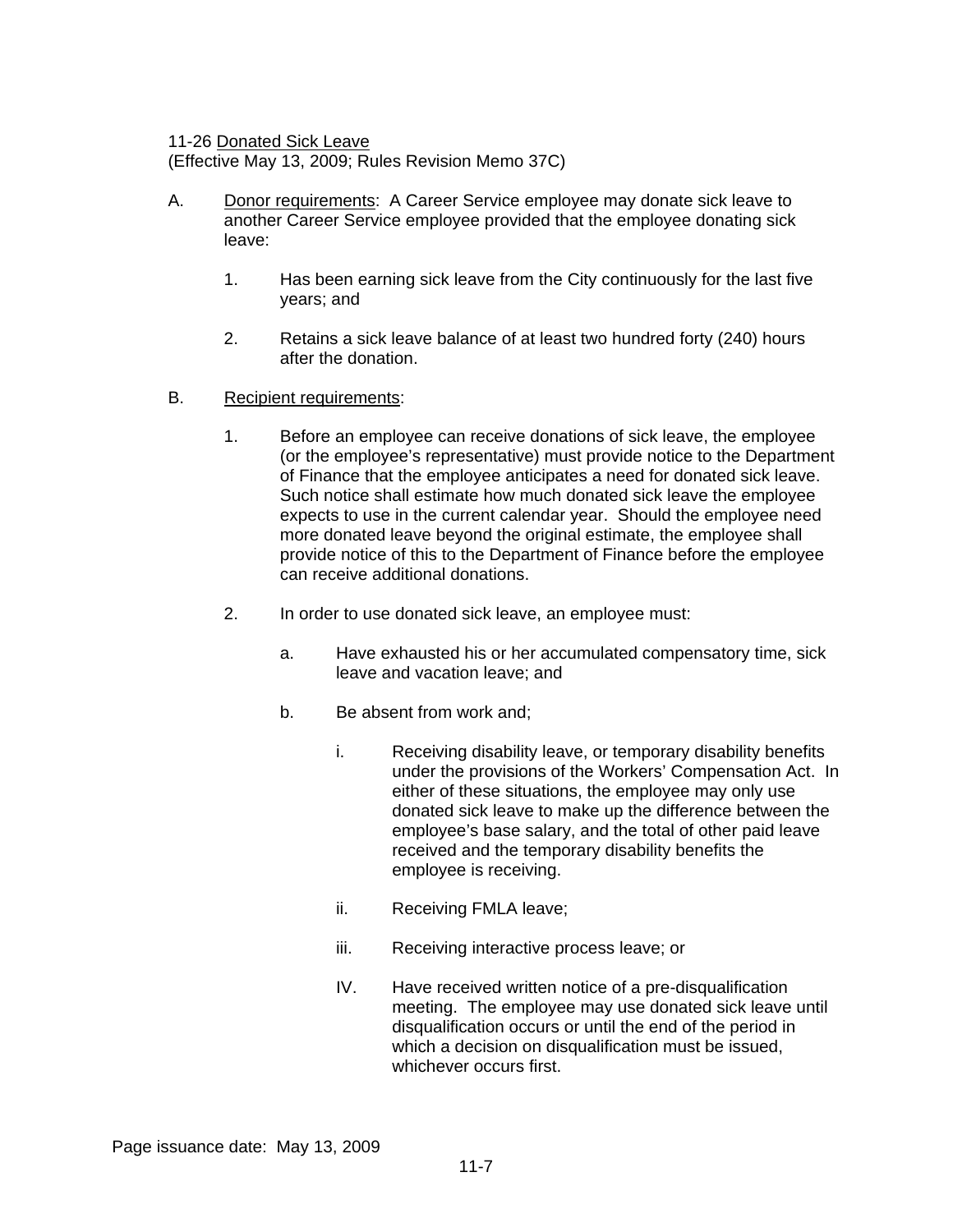11-26 Donated Sick Leave

(Effective May 13, 2009; Rules Revision Memo 37C)

- A. Donor requirements: A Career Service employee may donate sick leave to another Career Service employee provided that the employee donating sick leave:
	- 1. Has been earning sick leave from the City continuously for the last five years; and
	- 2. Retains a sick leave balance of at least two hundred forty (240) hours after the donation.
- B. Recipient requirements:
	- 1. Before an employee can receive donations of sick leave, the employee (or the employee's representative) must provide notice to the Department of Finance that the employee anticipates a need for donated sick leave. Such notice shall estimate how much donated sick leave the employee expects to use in the current calendar year. Should the employee need more donated leave beyond the original estimate, the employee shall provide notice of this to the Department of Finance before the employee can receive additional donations.
	- 2. In order to use donated sick leave, an employee must:
		- a. Have exhausted his or her accumulated compensatory time, sick leave and vacation leave; and
		- b. Be absent from work and;
			- i. Receiving disability leave, or temporary disability benefits under the provisions of the Workers' Compensation Act. In either of these situations, the employee may only use donated sick leave to make up the difference between the employee's base salary, and the total of other paid leave received and the temporary disability benefits the employee is receiving.
			- ii. Receiving FMLA leave;
			- iii. Receiving interactive process leave; or
			- IV. Have received written notice of a pre-disqualification meeting. The employee may use donated sick leave until disqualification occurs or until the end of the period in which a decision on disqualification must be issued. whichever occurs first.